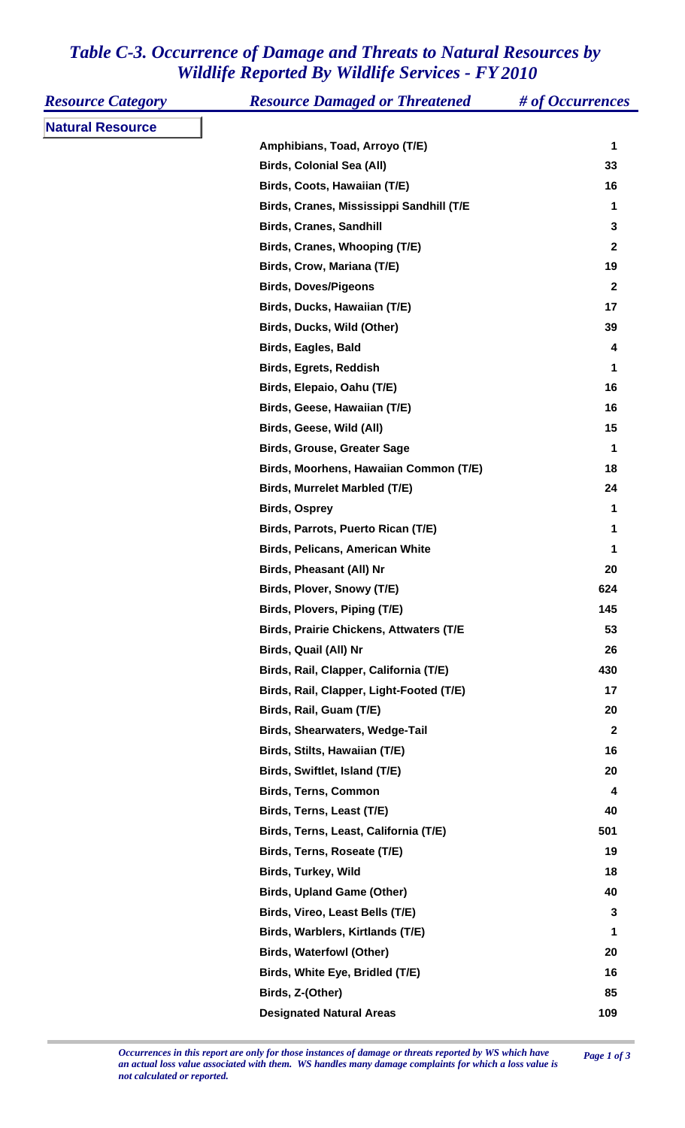## *Table C-3. Occurrence of Damage and Threats to Natural Resources by Wildlife Reported By Wildlife Services - FY 2010*

| <b>Resource Category</b> | <b>Resource Damaged or Threatened</b>          | # of Occurrences |
|--------------------------|------------------------------------------------|------------------|
| <b>Natural Resource</b>  |                                                |                  |
|                          | Amphibians, Toad, Arroyo (T/E)                 | 1                |
|                          | <b>Birds, Colonial Sea (All)</b>               | 33               |
|                          | Birds, Coots, Hawaiian (T/E)                   | 16               |
|                          | Birds, Cranes, Mississippi Sandhill (T/E       | 1                |
|                          | <b>Birds, Cranes, Sandhill</b>                 | $\mathbf{3}$     |
|                          | Birds, Cranes, Whooping (T/E)                  | $\mathbf{2}$     |
|                          | Birds, Crow, Mariana (T/E)                     | 19               |
|                          | <b>Birds, Doves/Pigeons</b>                    | $\mathbf{2}$     |
|                          | Birds, Ducks, Hawaiian (T/E)                   | 17               |
|                          | Birds, Ducks, Wild (Other)                     | 39               |
|                          | <b>Birds, Eagles, Bald</b>                     | 4                |
|                          | <b>Birds, Egrets, Reddish</b>                  | 1                |
|                          | Birds, Elepaio, Oahu (T/E)                     | 16               |
|                          | Birds, Geese, Hawaiian (T/E)                   | 16               |
|                          | Birds, Geese, Wild (All)                       | 15               |
|                          | <b>Birds, Grouse, Greater Sage</b>             | 1                |
|                          | Birds, Moorhens, Hawaiian Common (T/E)         | 18               |
|                          | Birds, Murrelet Marbled (T/E)                  | 24               |
|                          | <b>Birds, Osprey</b>                           | 1                |
|                          | Birds, Parrots, Puerto Rican (T/E)             | 1                |
|                          | <b>Birds, Pelicans, American White</b>         | 1                |
|                          | <b>Birds, Pheasant (All) Nr</b>                | 20               |
|                          | Birds, Plover, Snowy (T/E)                     | 624              |
|                          | Birds, Plovers, Piping (T/E)                   | 145              |
|                          | <b>Birds, Prairie Chickens, Attwaters (T/E</b> | 53               |
|                          | Birds, Quail (All) Nr                          | 26               |
|                          | Birds, Rail, Clapper, California (T/E)         | 430              |
|                          | Birds, Rail, Clapper, Light-Footed (T/E)       | 17               |
|                          | Birds, Rail, Guam (T/E)                        | 20               |
|                          | <b>Birds, Shearwaters, Wedge-Tail</b>          | $\mathbf{2}$     |
|                          | Birds, Stilts, Hawaiian (T/E)                  | 16               |
|                          | Birds, Swiftlet, Island (T/E)                  | 20               |
|                          | <b>Birds, Terns, Common</b>                    | 4                |
|                          | Birds, Terns, Least (T/E)                      | 40               |
|                          | Birds, Terns, Least, California (T/E)          | 501              |
|                          | Birds, Terns, Roseate (T/E)                    | 19               |
|                          | <b>Birds, Turkey, Wild</b>                     | 18               |
|                          | <b>Birds, Upland Game (Other)</b>              | 40               |
|                          | Birds, Vireo, Least Bells (T/E)                | 3                |
|                          | Birds, Warblers, Kirtlands (T/E)               | 1                |
|                          | <b>Birds, Waterfowl (Other)</b>                | 20               |
|                          | Birds, White Eye, Bridled (T/E)                | 16               |
|                          | Birds, Z-(Other)                               | 85               |
|                          | <b>Designated Natural Areas</b>                | 109              |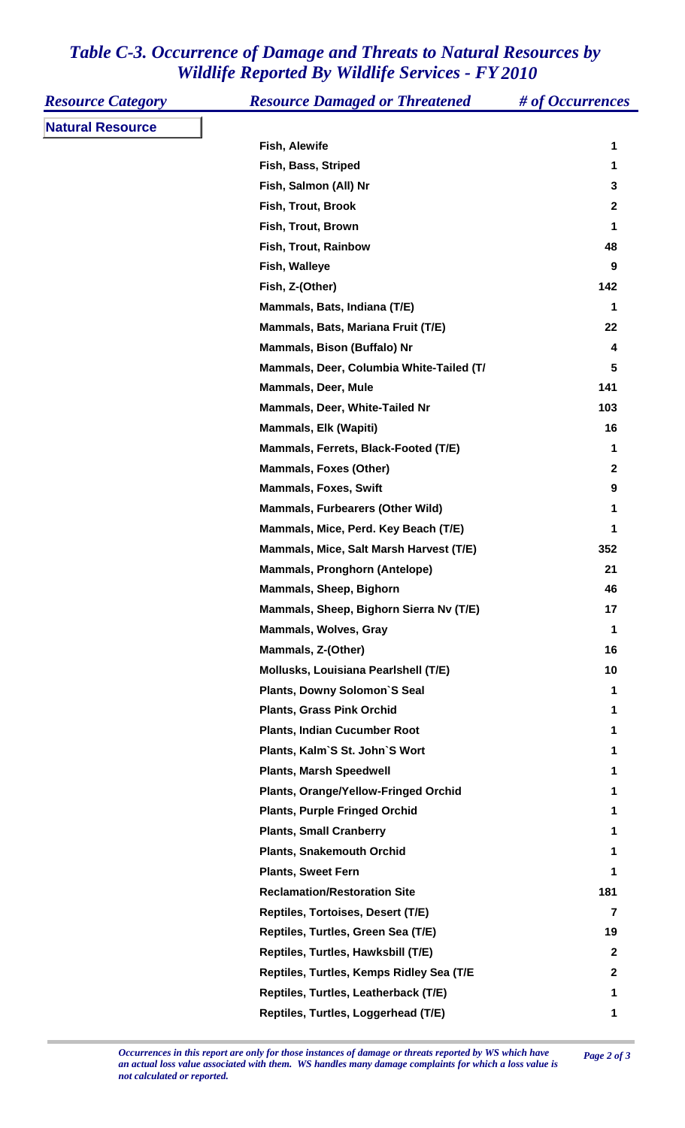## *Table C-3. Occurrence of Damage and Threats to Natural Resources by Wildlife Reported By Wildlife Services - FY 2010*

| <b>Resource Category</b> | <b>Resource Damaged or Threatened</b>    | # of Occurrences |
|--------------------------|------------------------------------------|------------------|
| <b>Natural Resource</b>  |                                          |                  |
|                          | Fish, Alewife                            | 1                |
|                          | Fish, Bass, Striped                      | 1                |
|                          | Fish, Salmon (All) Nr                    | 3                |
|                          | Fish, Trout, Brook                       | 2                |
|                          | Fish, Trout, Brown                       | 1                |
|                          | Fish, Trout, Rainbow                     | 48               |
|                          | Fish, Walleye                            | 9                |
|                          | Fish, Z-(Other)                          | 142              |
|                          | Mammals, Bats, Indiana (T/E)             | 1                |
|                          | Mammals, Bats, Mariana Fruit (T/E)       | 22               |
|                          | Mammals, Bison (Buffalo) Nr              | 4                |
|                          | Mammals, Deer, Columbia White-Tailed (T/ | 5                |
|                          | <b>Mammals, Deer, Mule</b>               | 141              |
|                          | Mammals, Deer, White-Tailed Nr           | 103              |
|                          | <b>Mammals, Elk (Wapiti)</b>             | 16               |
|                          | Mammals, Ferrets, Black-Footed (T/E)     | 1                |
|                          | <b>Mammals, Foxes (Other)</b>            | $\mathbf{2}$     |
|                          | <b>Mammals, Foxes, Swift</b>             | 9                |
|                          | <b>Mammals, Furbearers (Other Wild)</b>  | 1                |
|                          | Mammals, Mice, Perd. Key Beach (T/E)     | 1                |
|                          | Mammals, Mice, Salt Marsh Harvest (T/E)  | 352              |
|                          | <b>Mammals, Pronghorn (Antelope)</b>     | 21               |
|                          | Mammals, Sheep, Bighorn                  | 46               |
|                          | Mammals, Sheep, Bighorn Sierra Nv (T/E)  | 17               |
|                          | <b>Mammals, Wolves, Gray</b>             | 1                |
|                          | Mammals, Z-(Other)                       | 16               |
|                          | Mollusks, Louisiana Pearlshell (T/E)     | 10               |
|                          | <b>Plants, Downy Solomon'S Seal</b>      | 1                |
|                          | <b>Plants, Grass Pink Orchid</b>         | 1                |
|                          | <b>Plants, Indian Cucumber Root</b>      | 1                |
|                          | Plants, Kalm'S St. John'S Wort           | 1                |
|                          | <b>Plants, Marsh Speedwell</b>           | 1                |
|                          | Plants, Orange/Yellow-Fringed Orchid     | 1                |
|                          | <b>Plants, Purple Fringed Orchid</b>     | 1                |
|                          | <b>Plants, Small Cranberry</b>           | 1                |
|                          | <b>Plants, Snakemouth Orchid</b>         | 1                |
|                          | <b>Plants, Sweet Fern</b>                | 1                |
|                          | <b>Reclamation/Restoration Site</b>      | 181              |
|                          | Reptiles, Tortoises, Desert (T/E)        | 7                |
|                          | Reptiles, Turtles, Green Sea (T/E)       | 19               |
|                          | Reptiles, Turtles, Hawksbill (T/E)       | $\mathbf{2}$     |
|                          | Reptiles, Turtles, Kemps Ridley Sea (T/E | $\mathbf 2$      |
|                          | Reptiles, Turtles, Leatherback (T/E)     | 1                |
|                          | Reptiles, Turtles, Loggerhead (T/E)      | 1                |